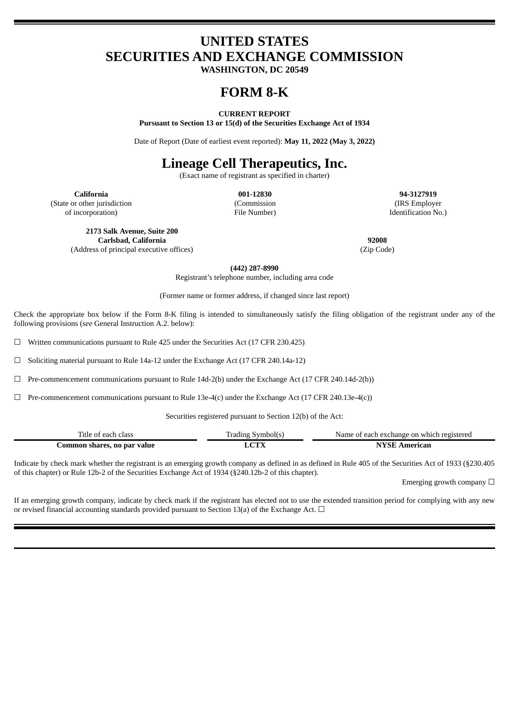# **UNITED STATES SECURITIES AND EXCHANGE COMMISSION**

**WASHINGTON, DC 20549**

# **FORM 8-K**

# **CURRENT REPORT**

**Pursuant to Section 13 or 15(d) of the Securities Exchange Act of 1934**

Date of Report (Date of earliest event reported): **May 11, 2022 (May 3, 2022)**

# **Lineage Cell Therapeutics, Inc.**

(Exact name of registrant as specified in charter)

**California 001-12830 94-3127919** (State or other jurisdiction of incorporation)

(Commission File Number)

(IRS Employer Identification No.)

**2173 Salk Avenue, Suite 200**

**Carlsbad, California 92008** (Address of principal executive offices) (Zip Code)

**(442) 287-8990** Registrant's telephone number, including area code

(Former name or former address, if changed since last report)

Check the appropriate box below if the Form 8-K filing is intended to simultaneously satisfy the filing obligation of the registrant under any of the following provisions (*see* General Instruction A.2. below):

 $\Box$  Written communications pursuant to Rule 425 under the Securities Act (17 CFR 230.425)

☐ Soliciting material pursuant to Rule 14a-12 under the Exchange Act (17 CFR 240.14a-12)

☐ Pre-commencement communications pursuant to Rule 14d-2(b) under the Exchange Act (17 CFR 240.14d-2(b))

☐ Pre-commencement communications pursuant to Rule 13e-4(c) under the Exchange Act (17 CFR 240.13e-4(c))

Securities registered pursuant to Section 12(b) of the Act:

| $-$<br>itle of<br>class<br>' each. | Symboll<br>radıng | Name of each exchange on which registered |
|------------------------------------|-------------------|-------------------------------------------|
| no par value                       | <b>OUT</b>        | .merican                                  |
| dommon shares.                     |                   |                                           |

Indicate by check mark whether the registrant is an emerging growth company as defined in as defined in Rule 405 of the Securities Act of 1933 (§230.405 of this chapter) or Rule 12b-2 of the Securities Exchange Act of 1934 (§240.12b-2 of this chapter).

Emerging growth company  $\Box$ 

If an emerging growth company, indicate by check mark if the registrant has elected not to use the extended transition period for complying with any new or revised financial accounting standards provided pursuant to Section 13(a) of the Exchange Act.  $\Box$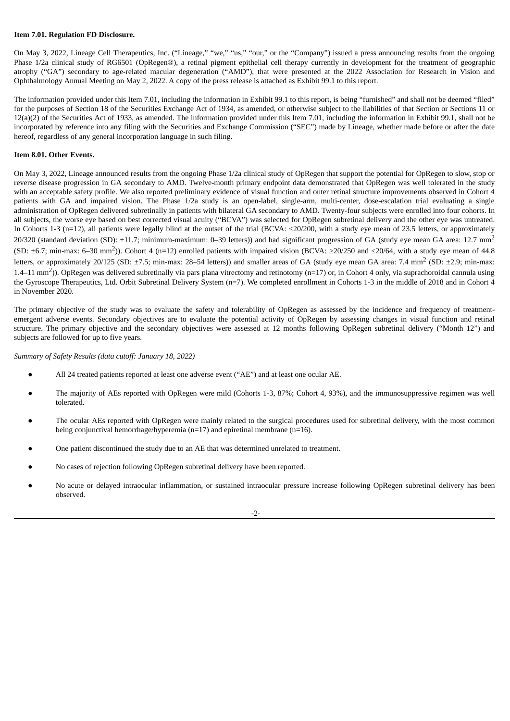# **Item 7.01. Regulation FD Disclosure.**

On May 3, 2022, Lineage Cell Therapeutics, Inc. ("Lineage," "we," "us," "our," or the "Company") issued a press announcing results from the ongoing Phase 1/2a clinical study of RG6501 (OpRegen®), a retinal pigment epithelial cell therapy currently in development for the treatment of geographic atrophy ("GA") secondary to age-related macular degeneration ("AMD"), that were presented at the 2022 Association for Research in Vision and Ophthalmology Annual Meeting on May 2, 2022. A copy of the press release is attached as Exhibit 99.1 to this report.

The information provided under this Item 7.01, including the information in Exhibit 99.1 to this report, is being "furnished" and shall not be deemed "filed" for the purposes of Section 18 of the Securities Exchange Act of 1934, as amended, or otherwise subject to the liabilities of that Section or Sections 11 or 12(a)(2) of the Securities Act of 1933, as amended. The information provided under this Item 7.01, including the information in Exhibit 99.1, shall not be incorporated by reference into any filing with the Securities and Exchange Commission ("SEC") made by Lineage, whether made before or after the date hereof, regardless of any general incorporation language in such filing.

#### **Item 8.01. Other Events.**

On May 3, 2022, Lineage announced results from the ongoing Phase 1/2a clinical study of OpRegen that support the potential for OpRegen to slow, stop or reverse disease progression in GA secondary to AMD. Twelve-month primary endpoint data demonstrated that OpRegen was well tolerated in the study with an acceptable safety profile. We also reported preliminary evidence of visual function and outer retinal structure improvements observed in Cohort 4 patients with GA and impaired vision. The Phase 1/2a study is an open-label, single-arm, multi-center, dose-escalation trial evaluating a single administration of OpRegen delivered subretinally in patients with bilateral GA secondary to AMD. Twenty-four subjects were enrolled into four cohorts. In all subjects, the worse eye based on best corrected visual acuity ("BCVA") was selected for OpRegen subretinal delivery and the other eye was untreated. In Cohorts 1-3 (n=12), all patients were legally blind at the outset of the trial (BCVA: ≤20/200, with a study eye mean of 23.5 letters, or approximately 20/320 (standard deviation (SD): ±11.7; minimum-maximum: 0-39 letters)) and had significant progression of GA (study eye mean GA area: 12.7 mm<sup>2</sup> (SD:  $\pm$ 6.7; min-max: 6–30 mm<sup>2</sup>)). Cohort 4 (n=12) enrolled patients with impaired vision (BCVA:  $\geq$ 20/250 and  $\leq$ 20/64, with a study eye mean of 44.8 letters, or approximately 20/125 (SD:  $\pm$ 7.5; min-max: 28–54 letters)) and smaller areas of GA (study eye mean GA area: 7.4 mm<sup>2</sup> (SD:  $\pm$ 2.9; min-max: 1.4–11 mm<sup>2</sup>)). OpRegen was delivered subretinally via pars plana vitrectomy and retinotomy (n=17) or, in Cohort 4 only, via suprachoroidal cannula using the Gyroscope Therapeutics, Ltd. Orbit Subretinal Delivery System (n=7). We completed enrollment in Cohorts 1-3 in the middle of 2018 and in Cohort 4 in November 2020.

The primary objective of the study was to evaluate the safety and tolerability of OpRegen as assessed by the incidence and frequency of treatmentemergent adverse events. Secondary objectives are to evaluate the potential activity of OpRegen by assessing changes in visual function and retinal structure. The primary objective and the secondary objectives were assessed at 12 months following OpRegen subretinal delivery ("Month 12") and subjects are followed for up to five years.

*Summary of Safety Results (data cutoff: January 18, 2022)*

- All 24 treated patients reported at least one adverse event ("AE") and at least one ocular AE.
- The majority of AEs reported with OpRegen were mild (Cohorts 1-3, 87%; Cohort 4, 93%), and the immunosuppressive regimen was well tolerated.
- The ocular AEs reported with OpRegen were mainly related to the surgical procedures used for subretinal delivery, with the most common being conjunctival hemorrhage/hyperemia (n=17) and epiretinal membrane (n=16).
- One patient discontinued the study due to an AE that was determined unrelated to treatment.
- No cases of rejection following OpRegen subretinal delivery have been reported.
- No acute or delayed intraocular inflammation, or sustained intraocular pressure increase following OpRegen subretinal delivery has been observed.

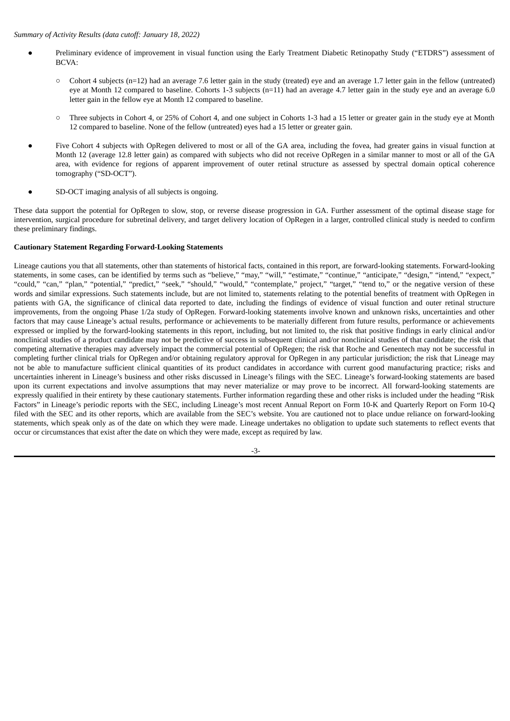# *Summary of Activity Results (data cutoff: January 18, 2022)*

- Preliminary evidence of improvement in visual function using the Early Treatment Diabetic Retinopathy Study ("ETDRS") assessment of BCVA:
	- $\circ$  Cohort 4 subjects (n=12) had an average 7.6 letter gain in the study (treated) eye and an average 1.7 letter gain in the fellow (untreated) eye at Month 12 compared to baseline. Cohorts 1-3 subjects (n=11) had an average 4.7 letter gain in the study eye and an average 6.0 letter gain in the fellow eye at Month 12 compared to baseline.
	- Three subjects in Cohort 4, or 25% of Cohort 4, and one subject in Cohorts 1-3 had a 15 letter or greater gain in the study eye at Month 12 compared to baseline. None of the fellow (untreated) eyes had a 15 letter or greater gain.
- Five Cohort 4 subjects with OpRegen delivered to most or all of the GA area, including the fovea, had greater gains in visual function at Month 12 (average 12.8 letter gain) as compared with subjects who did not receive OpRegen in a similar manner to most or all of the GA area, with evidence for regions of apparent improvement of outer retinal structure as assessed by spectral domain optical coherence tomography ("SD-OCT").
- SD-OCT imaging analysis of all subjects is ongoing.

These data support the potential for OpRegen to slow, stop, or reverse disease progression in GA. Further assessment of the optimal disease stage for intervention, surgical procedure for subretinal delivery, and target delivery location of OpRegen in a larger, controlled clinical study is needed to confirm these preliminary findings.

# **Cautionary Statement Regarding Forward-Looking Statements**

Lineage cautions you that all statements, other than statements of historical facts, contained in this report, are forward-looking statements. Forward-looking statements, in some cases, can be identified by terms such as "believe," "may," "will," "estimate," "continue," "anticipate," "design," "intend," "expect," "could," "can," "plan," "potential," "predict," "seek," "should," "would," "contemplate," project," "target," "tend to," or the negative version of these words and similar expressions. Such statements include, but are not limited to, statements relating to the potential benefits of treatment with OpRegen in patients with GA, the significance of clinical data reported to date, including the findings of evidence of visual function and outer retinal structure improvements, from the ongoing Phase 1/2a study of OpRegen. Forward-looking statements involve known and unknown risks, uncertainties and other factors that may cause Lineage's actual results, performance or achievements to be materially different from future results, performance or achievements expressed or implied by the forward-looking statements in this report, including, but not limited to, the risk that positive findings in early clinical and/or nonclinical studies of a product candidate may not be predictive of success in subsequent clinical and/or nonclinical studies of that candidate; the risk that competing alternative therapies may adversely impact the commercial potential of OpRegen; the risk that Roche and Genentech may not be successful in completing further clinical trials for OpRegen and/or obtaining regulatory approval for OpRegen in any particular jurisdiction; the risk that Lineage may not be able to manufacture sufficient clinical quantities of its product candidates in accordance with current good manufacturing practice; risks and uncertainties inherent in Lineage's business and other risks discussed in Lineage's filings with the SEC. Lineage's forward-looking statements are based upon its current expectations and involve assumptions that may never materialize or may prove to be incorrect. All forward-looking statements are expressly qualified in their entirety by these cautionary statements. Further information regarding these and other risks is included under the heading "Risk Factors" in Lineage's periodic reports with the SEC, including Lineage's most recent Annual Report on Form 10-K and Quarterly Report on Form 10-Q filed with the SEC and its other reports, which are available from the SEC's website. You are cautioned not to place undue reliance on forward-looking statements, which speak only as of the date on which they were made. Lineage undertakes no obligation to update such statements to reflect events that occur or circumstances that exist after the date on which they were made, except as required by law.

-3-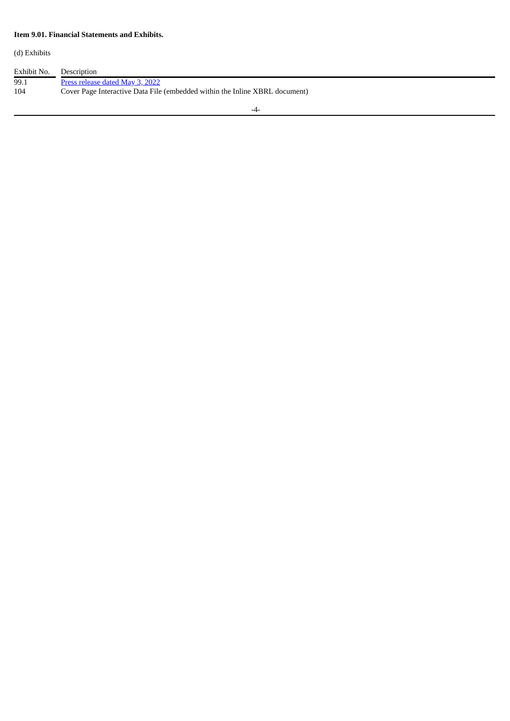# **Item 9.01. Financial Statements and Exhibits.**

(d) Exhibits

Exhibit No.<br>99.1 99.1 Press [release](#page-5-0) dated May 3, 2022 104 Cover Page Interactive Data File (embedded within the Inline XBRL document)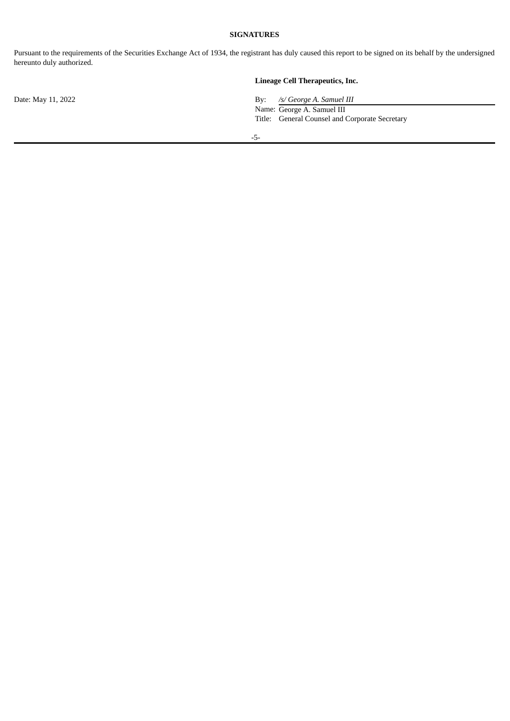# **SIGNATURES**

Pursuant to the requirements of the Securities Exchange Act of 1934, the registrant has duly caused this report to be signed on its behalf by the undersigned hereunto duly authorized.

# **Lineage Cell Therapeutics, Inc.**

Date: May 11, 2022 By: */s/ George A. Samuel III* Name: George A. Samuel III Title: General Counsel and Corporate Secretary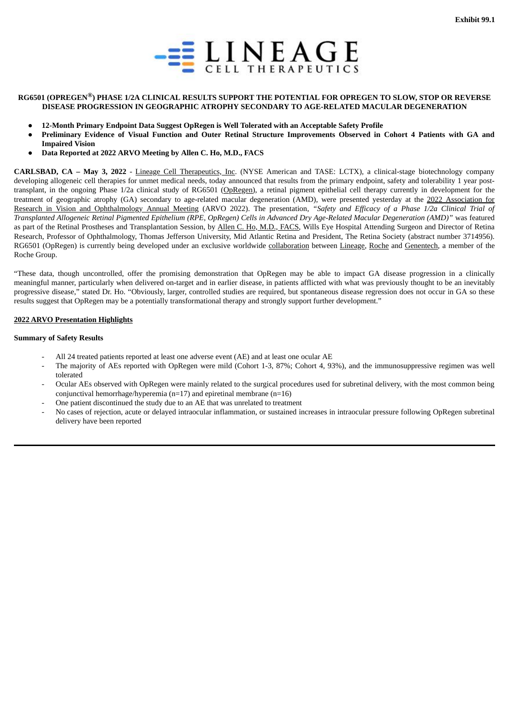

# <span id="page-5-0"></span>RG6501 (OPREGEN®) PHASE 1/2A CLINICAL RESULTS SUPPORT THE POTENTIAL FOR OPREGEN TO SLOW, STOP OR REVERSE **DISEASE PROGRESSION IN GEOGRAPHIC ATROPHY SECONDARY TO AGE-RELATED MACULAR DEGENERATION**

- **12-Month Primary Endpoint Data Suggest OpRegen is Well Tolerated with an Acceptable Safety Profile**
- Preliminary Evidence of Visual Function and Outer Retinal Structure Improvements Observed in Cohort 4 Patients with GA and **Impaired Vision**
- **Data Reported at 2022 ARVO Meeting by Allen C. Ho, M.D., FACS**

**CARLSBAD, CA – May 3, 2022** - Lineage Cell Therapeutics, Inc. (NYSE American and TASE: LCTX), a clinical-stage biotechnology company developing allogeneic cell therapies for unmet medical needs, today announced that results from the primary endpoint, safety and tolerability 1 year posttransplant, in the ongoing Phase 1/2a clinical study of RG6501 (OpRegen), a retinal pigment epithelial cell therapy currently in development for the treatment of geographic atrophy (GA) secondary to age-related macular degeneration (AMD), were presented yesterday at the 2022 Association for Research in Vision and Ophthalmology Annual Meeting (ARVO 2022). The presentation, *"Safety and Efficacy of a Phase 1/2a Clinical Trial of* Transplanted Allogeneic Retinal Pigmented Epithelium (RPE, OpRegen) Cells in Advanced Dry Age-Related Macular Degeneration (AMD)" was featured as part of the Retinal Prostheses and Transplantation Session, by Allen C. Ho, M.D., FACS, Wills Eye Hospital Attending Surgeon and Director of Retina Research, Professor of Ophthalmology, Thomas Jefferson University, Mid Atlantic Retina and President, The Retina Society (abstract number 3714956). RG6501 (OpRegen) is currently being developed under an exclusive worldwide collaboration between Lineage, Roche and Genentech, a member of the Roche Group.

"These data, though uncontrolled, offer the promising demonstration that OpRegen may be able to impact GA disease progression in a clinically meaningful manner, particularly when delivered on-target and in earlier disease, in patients afflicted with what was previously thought to be an inevitably progressive disease," stated Dr. Ho. "Obviously, larger, controlled studies are required, but spontaneous disease regression does not occur in GA so these results suggest that OpRegen may be a potentially transformational therapy and strongly support further development."

# **2022 ARVO Presentation Highlights**

#### **Summary of Safety Results**

- All 24 treated patients reported at least one adverse event (AE) and at least one ocular AE
- The majority of AEs reported with OpRegen were mild (Cohort 1-3, 87%; Cohort 4, 93%), and the immunosuppressive regimen was well tolerated
- Ocular AEs observed with OpRegen were mainly related to the surgical procedures used for subretinal delivery, with the most common being conjunctival hemorrhage/hyperemia ( $n=17$ ) and epiretinal membrane ( $n=16$ )
- One patient discontinued the study due to an AE that was unrelated to treatment
- No cases of rejection, acute or delayed intraocular inflammation, or sustained increases in intraocular pressure following OpRegen subretinal delivery have been reported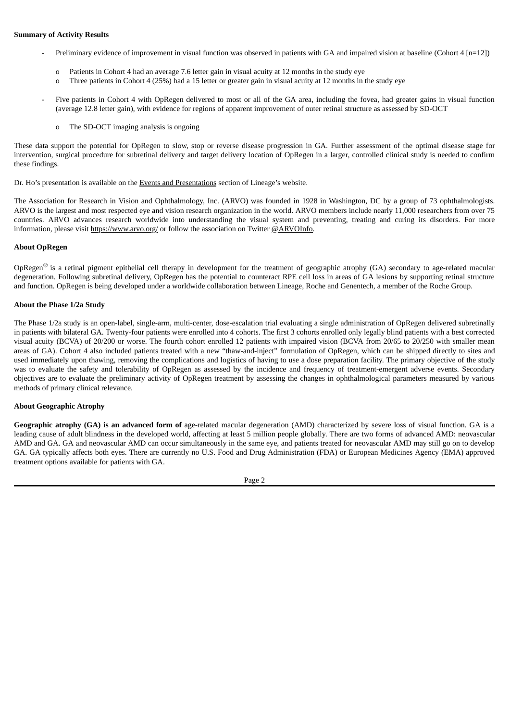# **Summary of Activity Results**

- Preliminary evidence of improvement in visual function was observed in patients with GA and impaired vision at baseline (Cohort 4 [n=12])
	- o Patients in Cohort 4 had an average 7.6 letter gain in visual acuity at 12 months in the study eye
	- o Three patients in Cohort 4 (25%) had a 15 letter or greater gain in visual acuity at 12 months in the study eye
- Five patients in Cohort 4 with OpRegen delivered to most or all of the GA area, including the fovea, had greater gains in visual function (average 12.8 letter gain), with evidence for regions of apparent improvement of outer retinal structure as assessed by SD-OCT
	- o The SD-OCT imaging analysis is ongoing

These data support the potential for OpRegen to slow, stop or reverse disease progression in GA. Further assessment of the optimal disease stage for intervention, surgical procedure for subretinal delivery and target delivery location of OpRegen in a larger, controlled clinical study is needed to confirm these findings.

Dr. Ho's presentation is available on the Events and Presentations section of Lineage's website.

The Association for Research in Vision and Ophthalmology, Inc. (ARVO) was founded in 1928 in Washington, DC by a group of 73 ophthalmologists. ARVO is the largest and most respected eye and vision research organization in the world. ARVO members include nearly 11,000 researchers from over 75 countries. ARVO advances research worldwide into understanding the visual system and preventing, treating and curing its disorders. For more information, please visit https://www.arvo.org/ or follow the association on Twitter @ARVOInfo.

# **About OpRegen**

OpRegen<sup>®</sup> is a retinal pigment epithelial cell therapy in development for the treatment of geographic atrophy (GA) secondary to age-related macular degeneration. Following subretinal delivery, OpRegen has the potential to counteract RPE cell loss in areas of GA lesions by supporting retinal structure and function. OpRegen is being developed under a worldwide collaboration between Lineage, Roche and Genentech, a member of the Roche Group.

#### **About the Phase 1/2a Study**

The Phase 1/2a study is an open-label, single-arm, multi-center, dose-escalation trial evaluating a single administration of OpRegen delivered subretinally in patients with bilateral GA. Twenty-four patients were enrolled into 4 cohorts. The first 3 cohorts enrolled only legally blind patients with a best corrected visual acuity (BCVA) of 20/200 or worse. The fourth cohort enrolled 12 patients with impaired vision (BCVA from 20/65 to 20/250 with smaller mean areas of GA). Cohort 4 also included patients treated with a new "thaw-and-inject" formulation of OpRegen, which can be shipped directly to sites and used immediately upon thawing, removing the complications and logistics of having to use a dose preparation facility. The primary objective of the study was to evaluate the safety and tolerability of OpRegen as assessed by the incidence and frequency of treatment-emergent adverse events. Secondary objectives are to evaluate the preliminary activity of OpRegen treatment by assessing the changes in ophthalmological parameters measured by various methods of primary clinical relevance.

# **About Geographic Atrophy**

**Geographic atrophy (GA) is an advanced form of** age-related macular degeneration (AMD) characterized by severe loss of visual function. GA is a leading cause of adult blindness in the developed world, affecting at least 5 million people globally. There are two forms of advanced AMD: neovascular AMD and GA. GA and neovascular AMD can occur simultaneously in the same eye, and patients treated for neovascular AMD may still go on to develop GA. GA typically affects both eyes. There are currently no U.S. Food and Drug Administration (FDA) or European Medicines Agency (EMA) approved treatment options available for patients with GA.

Page 2